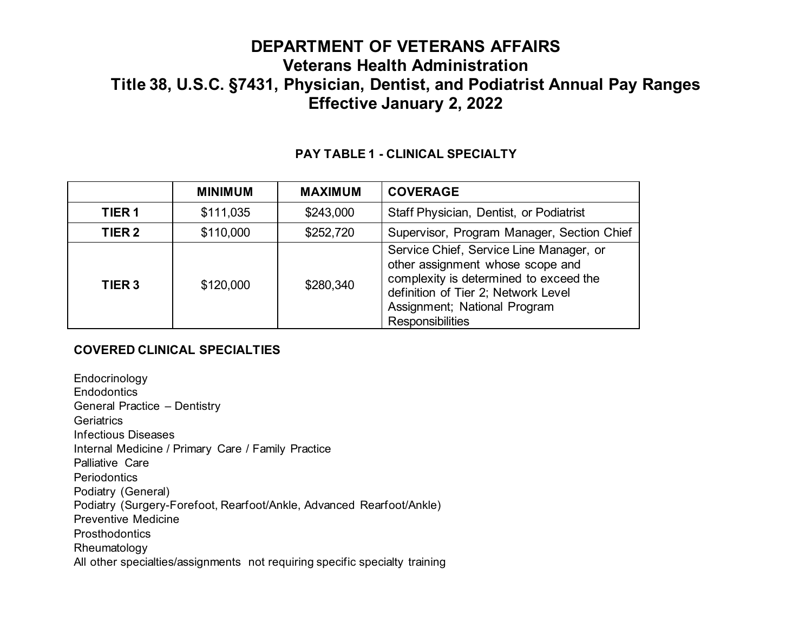| PAY TABLE 1 - CLINICAL SPECIALTY |  |
|----------------------------------|--|
|----------------------------------|--|

|                   | <b>MINIMUM</b> | <b>MAXIMUM</b> | <b>COVERAGE</b>                                                                                                                                                                                                  |
|-------------------|----------------|----------------|------------------------------------------------------------------------------------------------------------------------------------------------------------------------------------------------------------------|
| TIER <sub>1</sub> | \$111,035      | \$243,000      | <b>Staff Physician, Dentist, or Podiatrist</b>                                                                                                                                                                   |
| TIER <sub>2</sub> | \$110,000      | \$252,720      | Supervisor, Program Manager, Section Chief                                                                                                                                                                       |
| TIER <sub>3</sub> | \$120,000      | \$280,340      | Service Chief, Service Line Manager, or<br>other assignment whose scope and<br>complexity is determined to exceed the<br>definition of Tier 2; Network Level<br>Assignment; National Program<br>Responsibilities |

#### **COVERED CLINICAL SPECIALTIES**

Endocrinology **Endodontics** General Practice – Dentistry **Geriatrics** Infectious Diseases Internal Medicine / Primary Care / Family Practice Palliative Care **Periodontics** Podiatry (General) Podiatry (Surgery-Forefoot, Rearfoot/Ankle, Advanced Rearfoot/Ankle) Preventive Medicine **Prosthodontics** Rheumatology All other specialties/assignments not requiring specific specialty training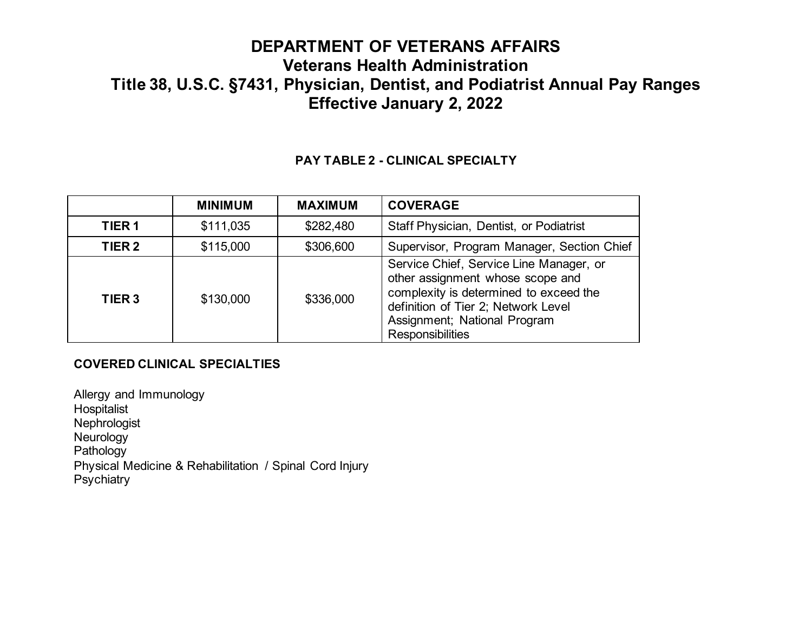### **PAY TABLE 2 - CLINICAL SPECIALTY**

|                   | <b>MINIMUM</b> | <b>MAXIMUM</b> | <b>COVERAGE</b>                                                                                                                                                                                                         |
|-------------------|----------------|----------------|-------------------------------------------------------------------------------------------------------------------------------------------------------------------------------------------------------------------------|
| TIER <sub>1</sub> | \$111,035      | \$282,480      | Staff Physician, Dentist, or Podiatrist                                                                                                                                                                                 |
| TIER <sub>2</sub> | \$115,000      | \$306,600      | Supervisor, Program Manager, Section Chief                                                                                                                                                                              |
| TIER <sub>3</sub> | \$130,000      | \$336,000      | Service Chief, Service Line Manager, or<br>other assignment whose scope and<br>complexity is determined to exceed the<br>definition of Tier 2; Network Level<br>Assignment; National Program<br><b>Responsibilities</b> |

### **COVERED CLINICAL SPECIALTIES**

Allergy and Immunology Hospitalist Nephrologist Neurology Pathology Physical Medicine & Rehabilitation / Spinal Cord Injury **Psychiatry**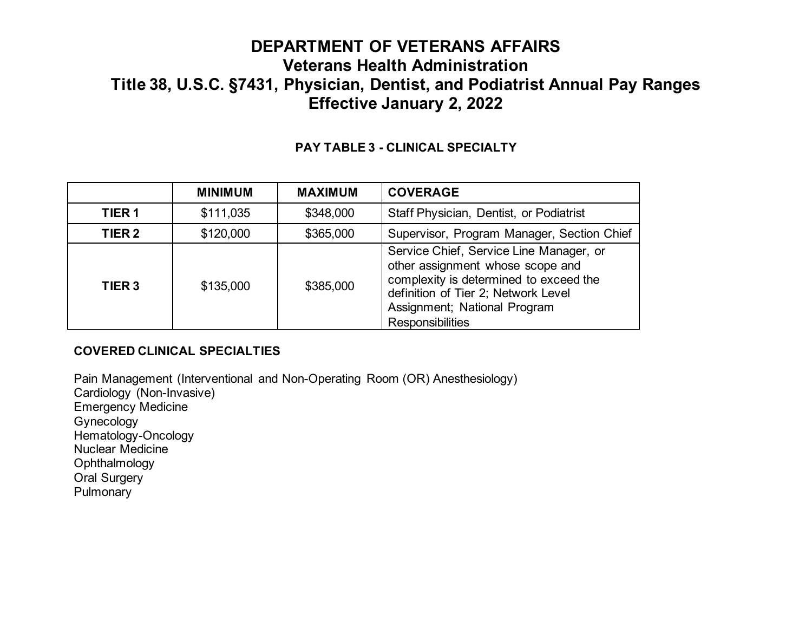### **PAY TABLE 3 - CLINICAL SPECIALTY**

|                   | <b>MINIMUM</b> | <b>MAXIMUM</b> | <b>COVERAGE</b>                                                                                                                                                                                                  |
|-------------------|----------------|----------------|------------------------------------------------------------------------------------------------------------------------------------------------------------------------------------------------------------------|
| TIER <sub>1</sub> | \$111,035      | \$348,000      | Staff Physician, Dentist, or Podiatrist                                                                                                                                                                          |
| TIER <sub>2</sub> | \$120,000      | \$365,000      | Supervisor, Program Manager, Section Chief                                                                                                                                                                       |
| TIER <sub>3</sub> | \$135,000      | \$385,000      | Service Chief, Service Line Manager, or<br>other assignment whose scope and<br>complexity is determined to exceed the<br>definition of Tier 2; Network Level<br>Assignment; National Program<br>Responsibilities |

### **COVERED CLINICAL SPECIALTIES**

Pain Management (Interventional and Non-Operating Room (OR) Anesthesiology) Cardiology (Non-Invasive) Emergency Medicine Gynecology Hematology-Oncology Nuclear Medicine **Ophthalmology** Oral Surgery

**Pulmonary**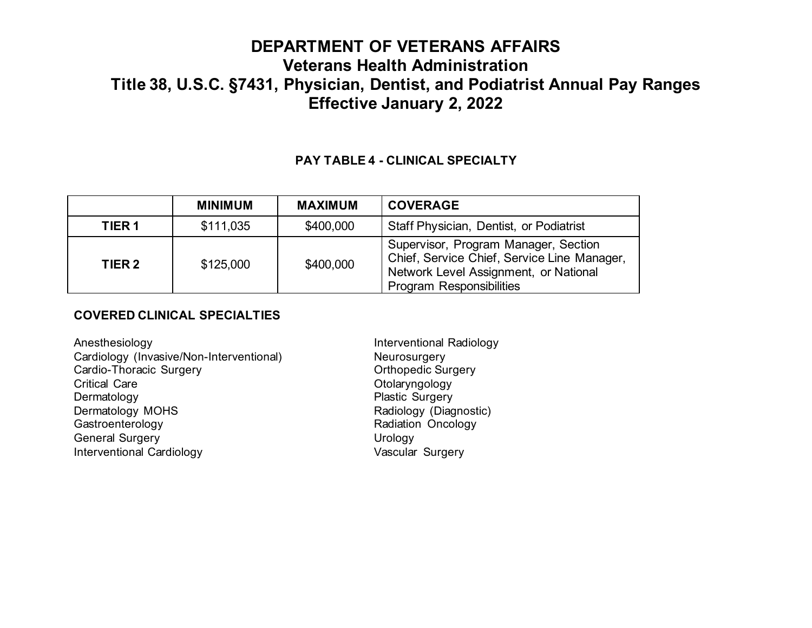### **PAY TABLE 4 - CLINICAL SPECIALTY**

|                   | <b>MINIMUM</b> | <b>MAXIMUM</b> | <b>COVERAGE</b>                                                                                                                                                 |
|-------------------|----------------|----------------|-----------------------------------------------------------------------------------------------------------------------------------------------------------------|
| TIER <sub>1</sub> | \$111,035      | \$400,000      | <b>Staff Physician, Dentist, or Podiatrist</b>                                                                                                                  |
| TIER 2            | \$125,000      | \$400,000      | Supervisor, Program Manager, Section<br>Chief, Service Chief, Service Line Manager,<br>Network Level Assignment, or National<br><b>Program Responsibilities</b> |

#### **COVERED CLINICAL SPECIALTIES**

Anesthesiology **Interventional Radiology** Cardiology (Invasive/Non-Interventional) Meurosurgery<br>Cardio-Thoracic Surgery Cardio-Thoracic Surgery Cardio-Thoracic Surgery Critical Care **Otolaryngology** Dermatology **Plastic Surgery** Dermatology MOHS <br>
Gastroenterology 
Gastroenterology

Gastroenterology

Radiation
Oncology

Radiation
Oncology

Radiation

Context
Bastroenterology

Radiation

Context

Radiation

Context

Radiation

Context

Radiation

C General Surgery **Urology** Interventional Cardiology **Vascular Surgery** 

Radiation Oncology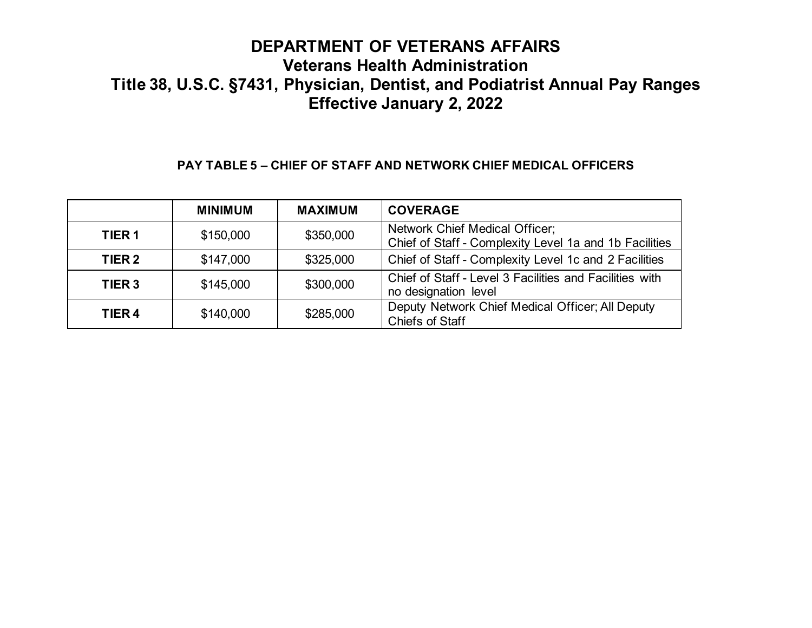### **PAY TABLE 5 – CHIEF OF STAFF AND NETWORK CHIEF MEDICAL OFFICERS**

|                   | <b>MINIMUM</b> | <b>MAXIMUM</b> | <b>COVERAGE</b>                                                                                 |
|-------------------|----------------|----------------|-------------------------------------------------------------------------------------------------|
| TIER <sub>1</sub> | \$150,000      | \$350,000      | <b>Network Chief Medical Officer;</b><br>Chief of Staff - Complexity Level 1a and 1b Facilities |
| TIER <sub>2</sub> | \$147,000      | \$325,000      | Chief of Staff - Complexity Level 1c and 2 Facilities                                           |
| TIER <sub>3</sub> | \$145,000      | \$300,000      | Chief of Staff - Level 3 Facilities and Facilities with<br>no designation level                 |
| TIER <sub>4</sub> | \$140,000      | \$285,000      | Deputy Network Chief Medical Officer; All Deputy<br><b>Chiefs of Staff</b>                      |